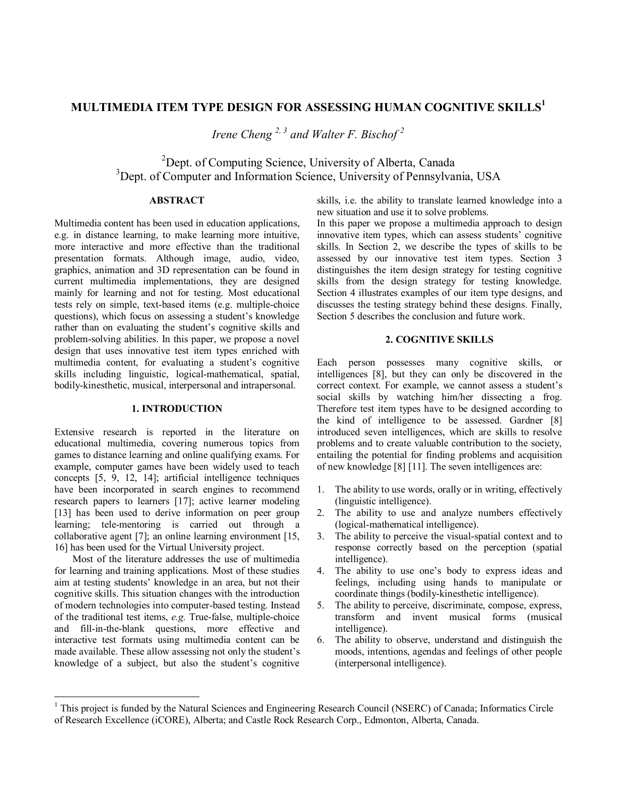# **MULTIMEDIA ITEM TYPE DESIGN FOR ASSESSING HUMAN COGNITIVE SKILLS<sup>1</sup>**

*Irene Cheng 2, 3 and Walter F. Bischof 2* 

<sup>2</sup>Dept. of Computing Science, University of Alberta, Canada <sup>3</sup>Dept. of Computer and Information Science, University of Pennsylvania, USA

# **ABSTRACT**

Multimedia content has been used in education applications, e.g. in distance learning, to make learning more intuitive, more interactive and more effective than the traditional presentation formats. Although image, audio, video, graphics, animation and 3D representation can be found in current multimedia implementations, they are designed mainly for learning and not for testing. Most educational tests rely on simple, text-based items (e.g. multiple-choice questions), which focus on assessing a student's knowledge rather than on evaluating the student's cognitive skills and problem-solving abilities. In this paper, we propose a novel design that uses innovative test item types enriched with multimedia content, for evaluating a student's cognitive skills including linguistic, logical-mathematical, spatial, bodily-kinesthetic, musical, interpersonal and intrapersonal.

### **1. INTRODUCTION**

Extensive research is reported in the literature on educational multimedia, covering numerous topics from games to distance learning and online qualifying exams. For example, computer games have been widely used to teach concepts [5, 9, 12, 14]; artificial intelligence techniques have been incorporated in search engines to recommend research papers to learners [17]; active learner modeling [13] has been used to derive information on peer group learning; tele-mentoring is carried out through a collaborative agent [7]; an online learning environment [15, 16] has been used for the Virtual University project.

Most of the literature addresses the use of multimedia for learning and training applications. Most of these studies aim at testing students' knowledge in an area, but not their cognitive skills. This situation changes with the introduction of modern technologies into computer-based testing. Instead of the traditional test items, *e.g.* True-false, multiple-choice and fill-in-the-blank questions, more effective and interactive test formats using multimedia content can be made available. These allow assessing not only the student's knowledge of a subject, but also the student's cognitive

 $\overline{a}$ 

skills, i.e. the ability to translate learned knowledge into a new situation and use it to solve problems.

In this paper we propose a multimedia approach to design innovative item types, which can assess students' cognitive skills. In Section 2, we describe the types of skills to be assessed by our innovative test item types. Section 3 distinguishes the item design strategy for testing cognitive skills from the design strategy for testing knowledge. Section 4 illustrates examples of our item type designs, and discusses the testing strategy behind these designs. Finally, Section 5 describes the conclusion and future work.

## **2. COGNITIVE SKILLS**

Each person possesses many cognitive skills, or intelligences [8], but they can only be discovered in the correct context. For example, we cannot assess a student's social skills by watching him/her dissecting a frog. Therefore test item types have to be designed according to the kind of intelligence to be assessed. Gardner [8] introduced seven intelligences, which are skills to resolve problems and to create valuable contribution to the society, entailing the potential for finding problems and acquisition of new knowledge [8] [11]. The seven intelligences are:

- 1. The ability to use words, orally or in writing, effectively (linguistic intelligence).
- 2. The ability to use and analyze numbers effectively (logical-mathematical intelligence).
- 3. The ability to perceive the visual-spatial context and to response correctly based on the perception (spatial intelligence).
- 4. The ability to use one's body to express ideas and feelings, including using hands to manipulate or coordinate things (bodily-kinesthetic intelligence).
- 5. The ability to perceive, discriminate, compose, express, transform and invent musical forms (musical intelligence).
- 6. The ability to observe, understand and distinguish the moods, intentions, agendas and feelings of other people (interpersonal intelligence).

<sup>&</sup>lt;sup>1</sup> This project is funded by the Natural Sciences and Engineering Research Council (NSERC) of Canada; Informatics Circle of Research Excellence (iCORE), Alberta; and Castle Rock Research Corp., Edmonton, Alberta, Canada.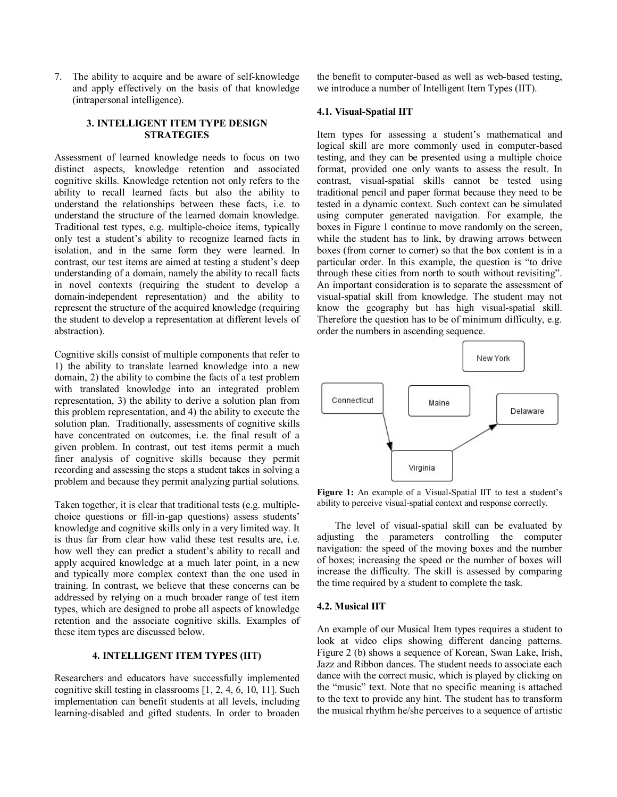7. The ability to acquire and be aware of self-knowledge and apply effectively on the basis of that knowledge (intrapersonal intelligence).

### **3. INTELLIGENT ITEM TYPE DESIGN STRATEGIES**

Assessment of learned knowledge needs to focus on two distinct aspects, knowledge retention and associated cognitive skills. Knowledge retention not only refers to the ability to recall learned facts but also the ability to understand the relationships between these facts, i.e. to understand the structure of the learned domain knowledge. Traditional test types, e.g. multiple-choice items, typically only test a student's ability to recognize learned facts in isolation, and in the same form they were learned. In contrast, our test items are aimed at testing a student's deep understanding of a domain, namely the ability to recall facts in novel contexts (requiring the student to develop a domain-independent representation) and the ability to represent the structure of the acquired knowledge (requiring the student to develop a representation at different levels of abstraction).

Cognitive skills consist of multiple components that refer to 1) the ability to translate learned knowledge into a new domain, 2) the ability to combine the facts of a test problem with translated knowledge into an integrated problem representation, 3) the ability to derive a solution plan from this problem representation, and 4) the ability to execute the solution plan. Traditionally, assessments of cognitive skills have concentrated on outcomes, i.e. the final result of a given problem. In contrast, out test items permit a much finer analysis of cognitive skills because they permit recording and assessing the steps a student takes in solving a problem and because they permit analyzing partial solutions.

Taken together, it is clear that traditional tests (e.g. multiplechoice questions or fill-in-gap questions) assess students' knowledge and cognitive skills only in a very limited way. It is thus far from clear how valid these test results are, i.e. how well they can predict a student's ability to recall and apply acquired knowledge at a much later point, in a new and typically more complex context than the one used in training. In contrast, we believe that these concerns can be addressed by relying on a much broader range of test item types, which are designed to probe all aspects of knowledge retention and the associate cognitive skills. Examples of these item types are discussed below.

### **4. INTELLIGENT ITEM TYPES (IIT)**

Researchers and educators have successfully implemented cognitive skill testing in classrooms [1, 2, 4, 6, 10, 11]. Such implementation can benefit students at all levels, including learning-disabled and gifted students. In order to broaden

the benefit to computer-based as well as web-based testing, we introduce a number of Intelligent Item Types (IIT).

#### **4.1. Visual-Spatial IIT**

Item types for assessing a student's mathematical and logical skill are more commonly used in computer-based testing, and they can be presented using a multiple choice format, provided one only wants to assess the result. In contrast, visual-spatial skills cannot be tested using traditional pencil and paper format because they need to be tested in a dynamic context. Such context can be simulated using computer generated navigation. For example, the boxes in Figure 1 continue to move randomly on the screen, while the student has to link, by drawing arrows between boxes (from corner to corner) so that the box content is in a particular order. In this example, the question is "to drive through these cities from north to south without revisiting". An important consideration is to separate the assessment of visual-spatial skill from knowledge. The student may not know the geography but has high visual-spatial skill. Therefore the question has to be of minimum difficulty, e.g. order the numbers in ascending sequence.



**Figure 1:** An example of a Visual-Spatial IIT to test a student's ability to perceive visual-spatial context and response correctly.

The level of visual-spatial skill can be evaluated by adjusting the parameters controlling the computer navigation: the speed of the moving boxes and the number of boxes; increasing the speed or the number of boxes will increase the difficulty. The skill is assessed by comparing the time required by a student to complete the task.

### **4.2. Musical IIT**

An example of our Musical Item types requires a student to look at video clips showing different dancing patterns. Figure 2 (b) shows a sequence of Korean, Swan Lake, Irish, Jazz and Ribbon dances. The student needs to associate each dance with the correct music, which is played by clicking on the "music" text. Note that no specific meaning is attached to the text to provide any hint. The student has to transform the musical rhythm he/she perceives to a sequence of artistic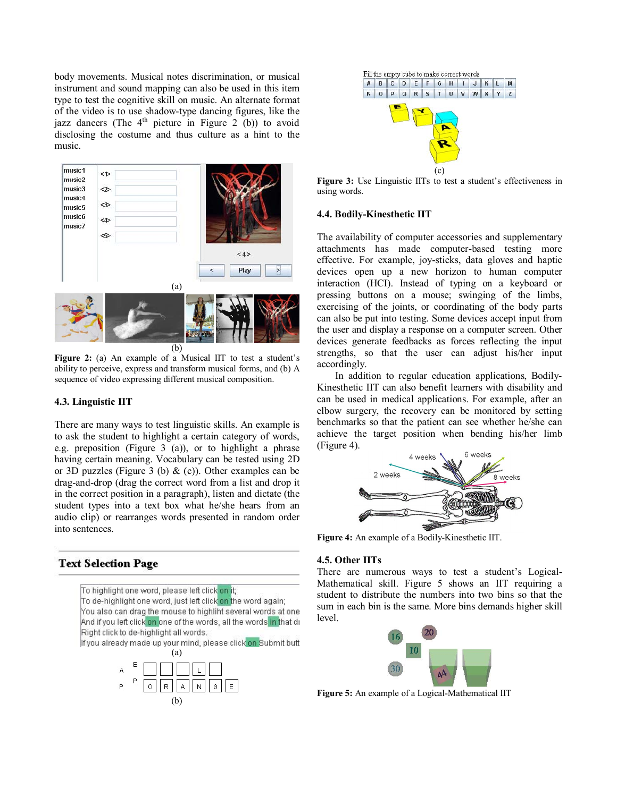body movements. Musical notes discrimination, or musical instrument and sound mapping can also be used in this item type to test the cognitive skill on music. An alternate format of the video is to use shadow-type dancing figures, like the jazz dancers (The  $4<sup>th</sup>$  picture in Figure 2 (b)) to avoid disclosing the costume and thus culture as a hint to the music.



**Figure 2:** (a) An example of a Musical IIT to test a student's ability to perceive, express and transform musical forms, and (b) A sequence of video expressing different musical composition.

### **4.3. Linguistic IIT**

There are many ways to test linguistic skills. An example is to ask the student to highlight a certain category of words, e.g. preposition (Figure  $3$  (a)), or to highlight a phrase having certain meaning. Vocabulary can be tested using 2D or 3D puzzles (Figure 3 (b)  $\&$  (c)). Other examples can be drag-and-drop (drag the correct word from a list and drop it in the correct position in a paragraph), listen and dictate (the student types into a text box what he/she hears from an audio clip) or rearranges words presented in random order into sentences.

## **Text Selection Page**

To highlight one word, please left click on it; To de-highlight one word, just left click on the word again; You also can drag the mouse to highliht several words at one And if you left click on one of the words, all the words in that di Right click to de-highlight all words. If you already made up your mind, please click on Submit butt (a)  $RA NG$  $\circ$ 

(b)



**Figure 3:** Use Linguistic IITs to test a student's effectiveness in using words.

#### **4.4. Bodily-Kinesthetic IIT**

The availability of computer accessories and supplementary attachments has made computer-based testing more effective. For example, joy-sticks, data gloves and haptic devices open up a new horizon to human computer interaction (HCI). Instead of typing on a keyboard or pressing buttons on a mouse; swinging of the limbs, exercising of the joints, or coordinating of the body parts can also be put into testing. Some devices accept input from the user and display a response on a computer screen. Other devices generate feedbacks as forces reflecting the input strengths, so that the user can adjust his/her input accordingly.

In addition to regular education applications, Bodily-Kinesthetic IIT can also benefit learners with disability and can be used in medical applications. For example, after an elbow surgery, the recovery can be monitored by setting benchmarks so that the patient can see whether he/she can achieve the target position when bending his/her limb (Figure 4).



**Figure 4:** An example of a Bodily-Kinesthetic IIT.

#### **4.5. Other IITs**

There are numerous ways to test a student's Logical-Mathematical skill. Figure 5 shows an IIT requiring a student to distribute the numbers into two bins so that the sum in each bin is the same. More bins demands higher skill level.



**Figure 5:** An example of a Logical-Mathematical IIT